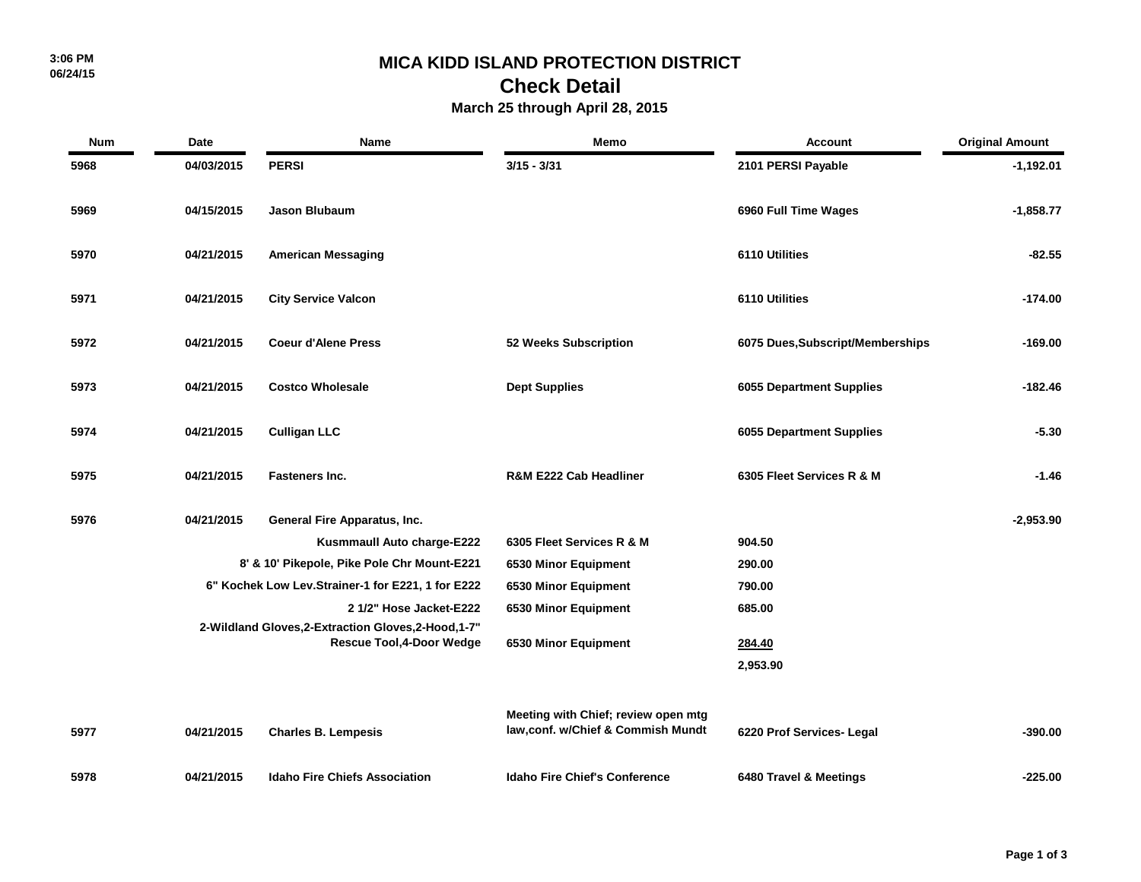### **MICA KIDD ISLAND PROTECTION DISTRICT**

## **Check Detail**

### **March 25 through April 28, 2015**

| <b>Num</b> | Date                                                                                     | Name                                              | Memo                                                                      | <b>Account</b>                   | <b>Original Amount</b> |
|------------|------------------------------------------------------------------------------------------|---------------------------------------------------|---------------------------------------------------------------------------|----------------------------------|------------------------|
| 5968       | 04/03/2015                                                                               | <b>PERSI</b>                                      | $3/15 - 3/31$                                                             | 2101 PERSI Payable               | $-1,192.01$            |
| 5969       | 04/15/2015                                                                               | Jason Blubaum                                     |                                                                           | 6960 Full Time Wages             | $-1,858.77$            |
| 5970       | 04/21/2015                                                                               | <b>American Messaging</b>                         |                                                                           | 6110 Utilities                   | $-82.55$               |
| 5971       | 04/21/2015                                                                               | <b>City Service Valcon</b>                        |                                                                           | 6110 Utilities                   | $-174.00$              |
| 5972       | 04/21/2015                                                                               | <b>Coeur d'Alene Press</b>                        | 52 Weeks Subscription                                                     | 6075 Dues, Subscript/Memberships | $-169.00$              |
| 5973       | 04/21/2015                                                                               | <b>Costco Wholesale</b>                           | <b>Dept Supplies</b>                                                      | <b>6055 Department Supplies</b>  | $-182.46$              |
| 5974       | 04/21/2015                                                                               | <b>Culligan LLC</b>                               |                                                                           | <b>6055 Department Supplies</b>  | $-5.30$                |
| 5975       | 04/21/2015                                                                               | <b>Fasteners Inc.</b>                             | R&M E222 Cab Headliner                                                    | 6305 Fleet Services R & M        | $-1.46$                |
| 5976       | 04/21/2015                                                                               | General Fire Apparatus, Inc.                      |                                                                           |                                  | $-2,953.90$            |
|            |                                                                                          | Kusmmaull Auto charge-E222                        | 6305 Fleet Services R & M                                                 | 904.50                           |                        |
|            |                                                                                          | 8' & 10' Pikepole, Pike Pole Chr Mount-E221       | 6530 Minor Equipment                                                      | 290.00                           |                        |
|            |                                                                                          | 6" Kochek Low Lev.Strainer-1 for E221, 1 for E222 | 6530 Minor Equipment                                                      | 790.00                           |                        |
|            |                                                                                          | 2 1/2" Hose Jacket-E222                           | 6530 Minor Equipment                                                      | 685.00                           |                        |
|            | 2-Wildland Gloves, 2-Extraction Gloves, 2-Hood, 1-7"<br><b>Rescue Tool, 4-Door Wedge</b> |                                                   | 6530 Minor Equipment                                                      | 284.40                           |                        |
|            |                                                                                          |                                                   |                                                                           | 2,953.90                         |                        |
|            |                                                                                          |                                                   |                                                                           |                                  |                        |
| 5977       | 04/21/2015                                                                               | <b>Charles B. Lempesis</b>                        | Meeting with Chief; review open mtg<br>law, conf. w/Chief & Commish Mundt | 6220 Prof Services- Legal        | $-390.00$              |
| 5978       | 04/21/2015                                                                               | <b>Idaho Fire Chiefs Association</b>              | <b>Idaho Fire Chief's Conference</b>                                      | 6480 Travel & Meetings           | $-225.00$              |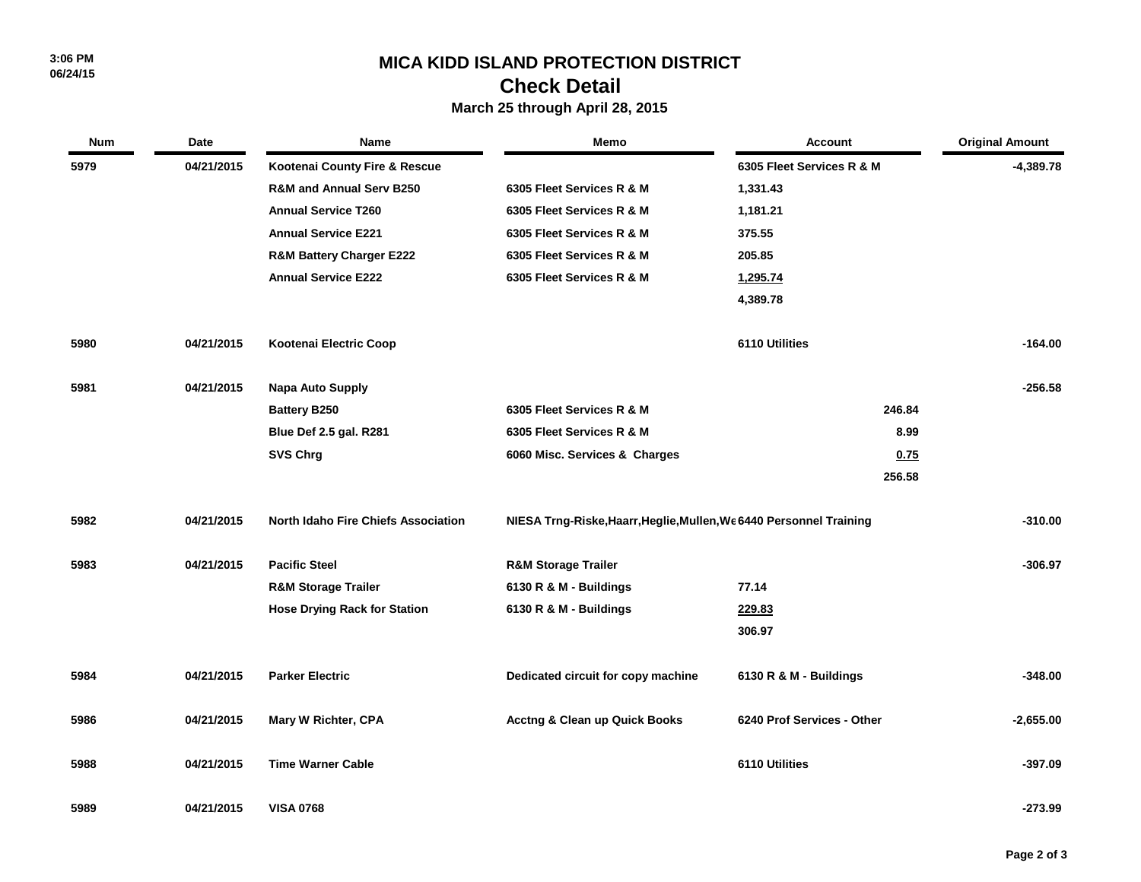## **MICA KIDD ISLAND PROTECTION DISTRICT**

# **Check Detail**

### **March 25 through April 28, 2015**

| <b>Num</b> | Date       | <b>Name</b>                                | <b>Memo</b>                                                         | Account                    | <b>Original Amount</b> |
|------------|------------|--------------------------------------------|---------------------------------------------------------------------|----------------------------|------------------------|
| 5979       | 04/21/2015 | Kootenai County Fire & Rescue              |                                                                     | 6305 Fleet Services R & M  | $-4,389.78$            |
|            |            | <b>R&amp;M and Annual Serv B250</b>        | 6305 Fleet Services R & M                                           | 1,331.43                   |                        |
|            |            | <b>Annual Service T260</b>                 | 6305 Fleet Services R & M                                           | 1,181.21                   |                        |
|            |            | <b>Annual Service E221</b>                 | 6305 Fleet Services R & M                                           | 375.55                     |                        |
|            |            | <b>R&amp;M Battery Charger E222</b>        | 6305 Fleet Services R & M                                           | 205.85                     |                        |
|            |            | <b>Annual Service E222</b>                 | 6305 Fleet Services R & M                                           | 1,295.74                   |                        |
|            |            |                                            |                                                                     | 4,389.78                   |                        |
| 5980       | 04/21/2015 | Kootenai Electric Coop                     |                                                                     | 6110 Utilities             | $-164.00$              |
| 5981       | 04/21/2015 | <b>Napa Auto Supply</b>                    |                                                                     |                            | $-256.58$              |
|            |            | <b>Battery B250</b>                        | 6305 Fleet Services R & M                                           | 246.84                     |                        |
|            |            | Blue Def 2.5 gal. R281                     | 6305 Fleet Services R & M                                           | 8.99                       |                        |
|            |            | <b>SVS Chrg</b>                            | 6060 Misc. Services & Charges                                       | 0.75                       |                        |
|            |            |                                            |                                                                     | 256.58                     |                        |
| 5982       | 04/21/2015 | <b>North Idaho Fire Chiefs Association</b> | NIESA Trng-Riske, Haarr, Heglie, Mullen, We 6440 Personnel Training |                            | $-310.00$              |
| 5983       | 04/21/2015 | <b>Pacific Steel</b>                       | <b>R&amp;M Storage Trailer</b>                                      |                            | -306.97                |
|            |            | <b>R&amp;M Storage Trailer</b>             | 6130 R & M - Buildings                                              | 77.14                      |                        |
|            |            | <b>Hose Drying Rack for Station</b>        | 6130 R & M - Buildings                                              | 229.83                     |                        |
|            |            |                                            |                                                                     | 306.97                     |                        |
| 5984       | 04/21/2015 | <b>Parker Electric</b>                     | Dedicated circuit for copy machine                                  | 6130 R & M - Buildings     | $-348.00$              |
| 5986       | 04/21/2015 | Mary W Richter, CPA                        | <b>Acctng &amp; Clean up Quick Books</b>                            | 6240 Prof Services - Other | $-2,655.00$            |
| 5988       | 04/21/2015 | <b>Time Warner Cable</b>                   |                                                                     | 6110 Utilities             | -397.09                |
| 5989       | 04/21/2015 | <b>VISA 0768</b>                           |                                                                     |                            | -273.99                |